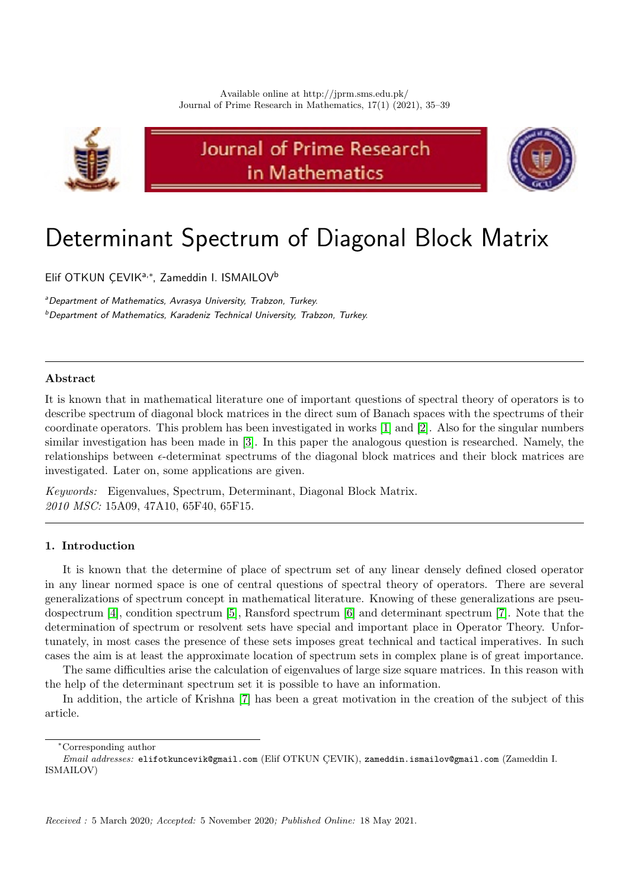

Journal of Prime Research in Mathematics



# Determinant Spectrum of Diagonal Block Matrix

Elif OTKUN ÇEVIK<sup>a,\*</sup>, Zameddin I. ISMAILOV<sup>b</sup>

<sup>a</sup> Department of Mathematics, Avrasya University, Trabzon, Turkey.  $b$ Department of Mathematics, Karadeniz Technical University, Trabzon, Turkey.

# Abstract

It is known that in mathematical literature one of important questions of spectral theory of operators is to describe spectrum of diagonal block matrices in the direct sum of Banach spaces with the spectrums of their coordinate operators. This problem has been investigated in works [\[1\]](#page-4-0) and [\[2\]](#page-4-1). Also for the singular numbers similar investigation has been made in [\[3\]](#page-4-2). In this paper the analogous question is researched. Namely, the relationships between  $\epsilon$ -determinat spectrums of the diagonal block matrices and their block matrices are investigated. Later on, some applications are given.

Keywords: Eigenvalues, Spectrum, Determinant, Diagonal Block Matrix. 2010 MSC: 15A09, 47A10, 65F40, 65F15.

# 1. Introduction

It is known that the determine of place of spectrum set of any linear densely defined closed operator in any linear normed space is one of central questions of spectral theory of operators. There are several generalizations of spectrum concept in mathematical literature. Knowing of these generalizations are pseudospectrum [\[4\]](#page-4-3), condition spectrum [\[5\]](#page-4-4), Ransford spectrum [\[6\]](#page-4-5) and determinant spectrum [\[7\]](#page-4-6). Note that the determination of spectrum or resolvent sets have special and important place in Operator Theory. Unfortunately, in most cases the presence of these sets imposes great technical and tactical imperatives. In such cases the aim is at least the approximate location of spectrum sets in complex plane is of great importance.

The same difficulties arise the calculation of eigenvalues of large size square matrices. In this reason with the help of the determinant spectrum set it is possible to have an information.

In addition, the article of Krishna [\[7\]](#page-4-6) has been a great motivation in the creation of the subject of this article.

<sup>∗</sup>Corresponding author

Email addresses: elifotkuncevik@gmail.com (Elif OTKUN CEVIK), zameddin.ismailov@gmail.com (Zameddin I. ISMAILOV)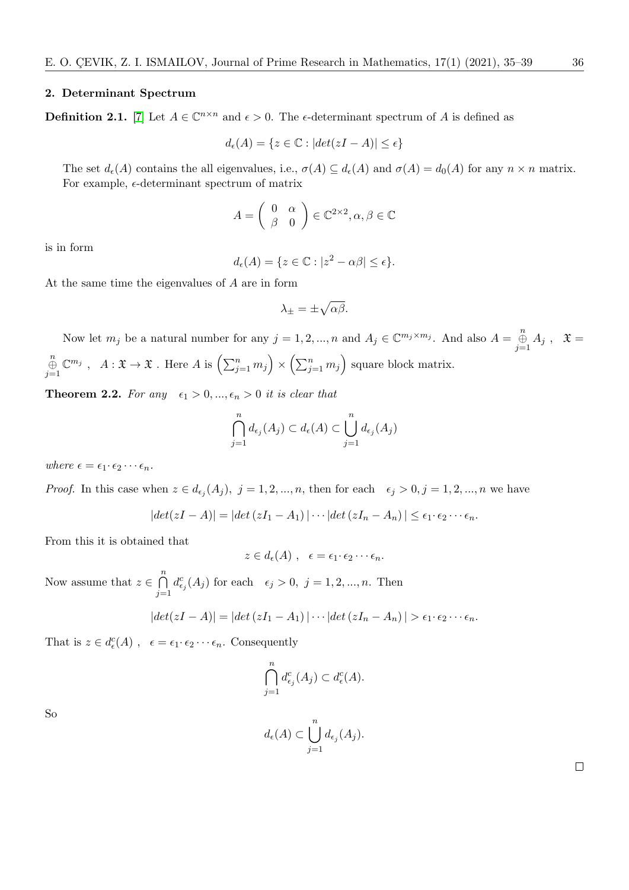#### 2. Determinant Spectrum

**Definition 2.1.** [\[7\]](#page-4-6) Let  $A \in \mathbb{C}^{n \times n}$  and  $\epsilon > 0$ . The e-determinant spectrum of A is defined as

$$
d_{\epsilon}(A) = \{ z \in \mathbb{C} : |det(zI - A)| \le \epsilon \}
$$

The set  $d_{\epsilon}(A)$  contains the all eigenvalues, i.e.,  $\sigma(A) \subseteq d_{\epsilon}(A)$  and  $\sigma(A) = d_0(A)$  for any  $n \times n$  matrix. For example,  $\epsilon$ -determinant spectrum of matrix

$$
A = \left(\begin{array}{cc} 0 & \alpha \\ \beta & 0 \end{array}\right) \in \mathbb{C}^{2 \times 2}, \alpha, \beta \in \mathbb{C}
$$

is in form

$$
d_{\epsilon}(A) = \{ z \in \mathbb{C} : |z^2 - \alpha \beta| \le \epsilon \}.
$$

At the same time the eigenvalues of A are in form

$$
\lambda_{\pm} = \pm \sqrt{\alpha \beta}.
$$

Now let  $m_j$  be a natural number for any  $j = 1, 2, ..., n$  and  $A_j \in \mathbb{C}^{m_j \times m_j}$ . And also  $A = \bigoplus_{j=1}^n A_j$ ,  $\mathfrak{X} =$  $\bigoplus_{j=1}^n$  $\mathbb{C}^{m_j}$ ,  $A: \mathfrak{X} \to \mathfrak{X}$ . Here  $A$  is  $\left(\sum_{j=1}^n m_j\right) \times \left(\sum_{j=1}^n m_j\right)$  square block matrix.

**Theorem 2.2.** For any  $\epsilon_1 > 0, ..., \epsilon_n > 0$  it is clear that

$$
\bigcap_{j=1}^{n} d_{\epsilon_j}(A_j) \subset d_{\epsilon}(A) \subset \bigcup_{j=1}^{n} d_{\epsilon_j}(A_j)
$$

where  $\epsilon = \epsilon_1 \cdot \epsilon_2 \cdots \epsilon_n$ .

*Proof.* In this case when  $z \in d_{\epsilon_j}(A_j)$ ,  $j = 1, 2, ..., n$ , then for each  $\epsilon_j > 0$ ,  $j = 1, 2, ..., n$  we have

$$
|det(zI-A)| = |det(zI_1-A_1)| \cdots |det(zI_n-A_n)| \le \epsilon_1 \cdot \epsilon_2 \cdots \epsilon_n.
$$

From this it is obtained that

$$
z\in d_{\epsilon}(A) , \ \epsilon=\epsilon_1\cdot \epsilon_2\cdots \epsilon_n.
$$

Now assume that  $z \in \bigcap^{n}$  $j=1$  $d_{\epsilon_j}^c(A_j)$  for each  $\epsilon_j > 0, j = 1, 2, ..., n$ . Then

$$
|det(zI-A)|=|det(zI_1-A_1)|\cdots|det(zI_n-A_n)|>\epsilon_1\cdot\epsilon_2\cdots\epsilon_n.
$$

That is  $z \in d_{\epsilon}^{c}(A)$ ,  $\epsilon = \epsilon_1 \cdot \epsilon_2 \cdots \epsilon_n$ . Consequently

$$
\bigcap_{j=1}^n d_{\epsilon_j}^c(A_j) \subset d_{\epsilon}^c(A).
$$

So

|  |       | $d_{\epsilon}(A) \subset \bigcup d_{\epsilon_j}(A_j).$ |
|--|-------|--------------------------------------------------------|
|  | $i=1$ |                                                        |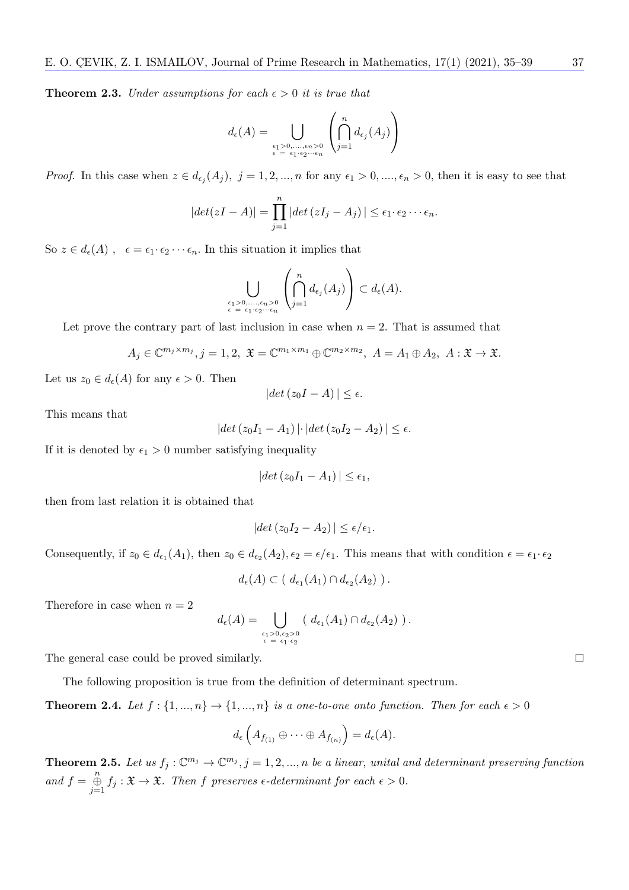**Theorem 2.3.** Under assumptions for each  $\epsilon > 0$  it is true that

$$
d_{\epsilon}(A) = \bigcup_{\substack{\epsilon_1 > 0, \ldots, \epsilon_n > 0 \\ \epsilon = \epsilon_1 \cdot \epsilon_2 \cdots \epsilon_n}} \left( \bigcap_{j=1}^n d_{\epsilon_j}(A_j) \right)
$$

*Proof.* In this case when  $z \in d_{\epsilon_j}(A_j)$ ,  $j = 1, 2, ..., n$  for any  $\epsilon_1 > 0, ..., \epsilon_n > 0$ , then it is easy to see that

$$
|det(zI-A)|=\prod_{j=1}^n|det(zI_j-A_j)|\leq \epsilon_1\cdot\epsilon_2\cdots\epsilon_n.
$$

So  $z \in d_{\epsilon}(A)$ ,  $\epsilon = \epsilon_1 \cdot \epsilon_2 \cdots \epsilon_n$ . In this situation it implies that

$$
\bigcup_{\epsilon_1>0,\ldots,\epsilon_n>0\atop \epsilon=\epsilon_1\cdot\epsilon_2\cdots\epsilon_n}\left(\bigcap_{j=1}^n d_{\epsilon_j}(A_j)\right)\subset d_{\epsilon}(A).
$$

Let prove the contrary part of last inclusion in case when  $n = 2$ . That is assumed that

$$
A_j \in \mathbb{C}^{m_j \times m_j}, j = 1, 2, \mathfrak{X} = \mathbb{C}^{m_1 \times m_1} \oplus \mathbb{C}^{m_2 \times m_2}, A = A_1 \oplus A_2, A : \mathfrak{X} \to \mathfrak{X}.
$$

Let us  $z_0 \in d_{\epsilon}(A)$  for any  $\epsilon > 0$ . Then

$$
|det(z_0I - A)| \le \epsilon.
$$

This means that

$$
|det(z_0I_1 - A_1)| \cdot |det(z_0I_2 - A_2)| \le \epsilon.
$$

If it is denoted by  $\epsilon_1 > 0$  number satisfying inequality

$$
|det(z_0I_1 - A_1)| \leq \epsilon_1,
$$

then from last relation it is obtained that

$$
|det(z_0I_2 - A_2)| \le \epsilon/\epsilon_1.
$$

Consequently, if  $z_0 \in d_{\epsilon_1}(A_1)$ , then  $z_0 \in d_{\epsilon_2}(A_2)$ ,  $\epsilon_2 = \epsilon/\epsilon_1$ . This means that with condition  $\epsilon = \epsilon_1 \cdot \epsilon_2$ 

$$
d_{\epsilon}(A) \subset (d_{\epsilon_1}(A_1) \cap d_{\epsilon_2}(A_2)) .
$$

Therefore in case when  $n = 2$ 

$$
d_{\epsilon}(A) = \bigcup_{\substack{\epsilon_1 > 0, \epsilon_2 > 0 \\ \epsilon = \epsilon_1 \cdot \epsilon_2}} \left( d_{\epsilon_1}(A_1) \cap d_{\epsilon_2}(A_2) \right).
$$

The general case could be proved similarly.

The following proposition is true from the definition of determinant spectrum.

**Theorem 2.4.** Let  $f : \{1, ..., n\} \to \{1, ..., n\}$  is a one-to-one onto function. Then for each  $\epsilon > 0$ 

$$
d_{\epsilon}\left(A_{f_{(1)}}\oplus\cdots\oplus A_{f_{(n)}}\right)=d_{\epsilon}(A).
$$

<span id="page-2-0"></span>**Theorem 2.5.** Let us  $f_j: \mathbb{C}^{m_j} \to \mathbb{C}^{m_j}$ ,  $j = 1, 2, ..., n$  be a linear, unital and determinant preserving function and  $f = \bigoplus_{j=1}^n f_j : \mathfrak{X} \to \mathfrak{X}$ . Then f preserves  $\epsilon$ -determinant for each  $\epsilon > 0$ .

 $\Box$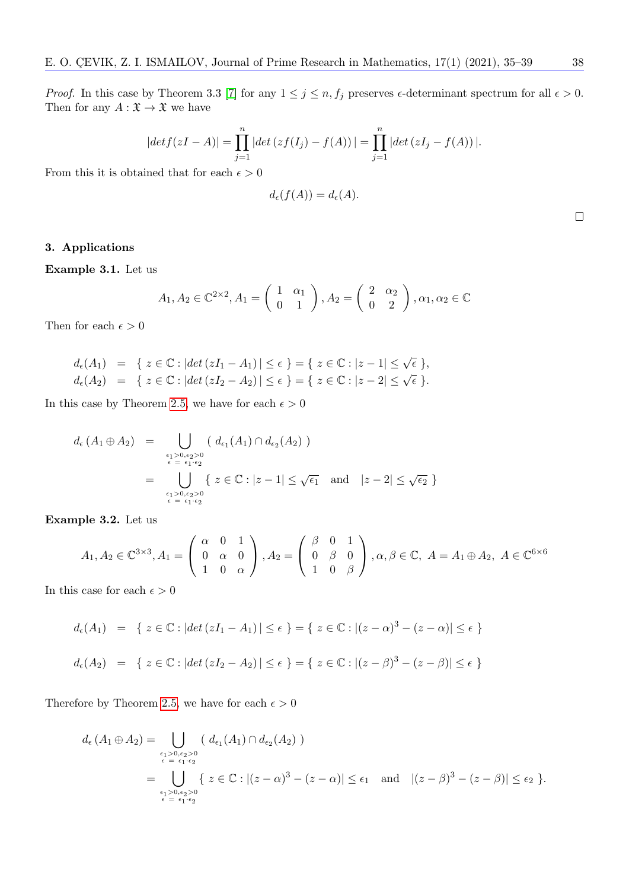*Proof.* In this case by Theorem 3.3 [\[7\]](#page-4-6) for any  $1 \le j \le n$ ,  $f_j$  preserves  $\epsilon$ -determinant spectrum for all  $\epsilon > 0$ . Then for any  $A: \mathfrak{X} \rightarrow \mathfrak{X}$  we have

$$
|det f(zI - A)| = \prod_{j=1}^{n} |det (zf(I_j) - f(A))| = \prod_{j=1}^{n} |det (zI_j - f(A))|.
$$

From this it is obtained that for each  $\epsilon > 0$ 

$$
d_{\epsilon}(f(A)) = d_{\epsilon}(A).
$$

## 3. Applications

Example 3.1. Let us

$$
A_1, A_2 \in \mathbb{C}^{2 \times 2}, A_1 = \begin{pmatrix} 1 & \alpha_1 \\ 0 & 1 \end{pmatrix}, A_2 = \begin{pmatrix} 2 & \alpha_2 \\ 0 & 2 \end{pmatrix}, \alpha_1, \alpha_2 \in \mathbb{C}
$$

Then for each  $\epsilon > 0$ 

$$
d_{\epsilon}(A_1) = \{ z \in \mathbb{C} : |det(zI_1 - A_1)| \le \epsilon \} = \{ z \in \mathbb{C} : |z - 1| \le \sqrt{\epsilon} \},
$$
  

$$
d_{\epsilon}(A_2) = \{ z \in \mathbb{C} : |det(zI_2 - A_2)| \le \epsilon \} = \{ z \in \mathbb{C} : |z - 2| \le \sqrt{\epsilon} \}.
$$

In this case by Theorem [2.5,](#page-2-0) we have for each  $\epsilon > 0$ 

$$
d_{\epsilon}(A_1 \oplus A_2) = \bigcup_{\substack{\epsilon_1 > 0, \epsilon_2 > 0 \\ \epsilon = \epsilon_1 \cdot \epsilon_2}} (\ d_{\epsilon_1}(A_1) \cap d_{\epsilon_2}(A_2))
$$
  
= 
$$
\bigcup_{\substack{\epsilon_1 > 0, \epsilon_2 > 0 \\ \epsilon = \epsilon_1 \cdot \epsilon_2}} \{ z \in \mathbb{C} : |z - 1| \le \sqrt{\epsilon_1} \text{ and } |z - 2| \le \sqrt{\epsilon_2} \}
$$

Example 3.2. Let us

$$
A_1, A_2 \in \mathbb{C}^{3 \times 3}, A_1 = \begin{pmatrix} \alpha & 0 & 1 \\ 0 & \alpha & 0 \\ 1 & 0 & \alpha \end{pmatrix}, A_2 = \begin{pmatrix} \beta & 0 & 1 \\ 0 & \beta & 0 \\ 1 & 0 & \beta \end{pmatrix}, \alpha, \beta \in \mathbb{C}, A = A_1 \oplus A_2, A \in \mathbb{C}^{6 \times 6}
$$

In this case for each  $\epsilon > 0$ 

$$
d_{\epsilon}(A_1) = \{ z \in \mathbb{C} : |det(zI_1 - A_1)| \le \epsilon \} = \{ z \in \mathbb{C} : |(z - \alpha)^3 - (z - \alpha)| \le \epsilon \}
$$
  

$$
d_{\epsilon}(A_2) = \{ z \in \mathbb{C} : |det(zI_2 - A_2)| \le \epsilon \} = \{ z \in \mathbb{C} : |(z - \beta)^3 - (z - \beta)| \le \epsilon \}
$$

Therefore by Theorem [2.5,](#page-2-0) we have for each  $\epsilon > 0$ 

$$
d_{\epsilon}(A_1 \oplus A_2) = \bigcup_{\epsilon_1 > 0, \epsilon_2 > 0 \atop \epsilon = \epsilon_1 \cdot \epsilon_2} (d_{\epsilon_1}(A_1) \cap d_{\epsilon_2}(A_2))
$$
  
= 
$$
\bigcup_{\epsilon_1 > 0, \epsilon_2 > 0 \atop \epsilon = \epsilon_1 \cdot \epsilon_2} \{ z \in \mathbb{C} : |(z - \alpha)^3 - (z - \alpha)| \le \epsilon_1 \text{ and } |(z - \beta)^3 - (z - \beta)| \le \epsilon_2 \}.
$$

 $\Box$